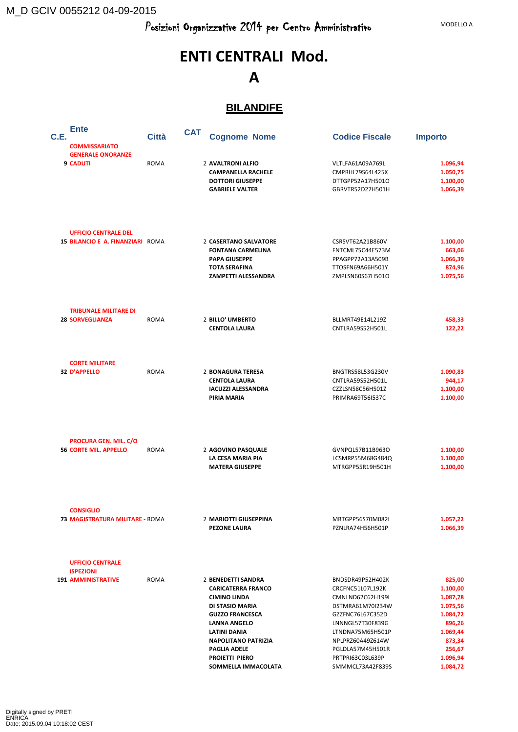M\_D GCIV 0055212 04-09-2015

# **ENTI CENTRALI Mod. A**

#### **BILANDIFE**

| C.E. | <b>Ente</b>                                                  | Città       | <b>CAT</b> | <b>Cognome Nome</b>                    | <b>Codice Fiscale</b>                | <b>Importo</b>       |
|------|--------------------------------------------------------------|-------------|------------|----------------------------------------|--------------------------------------|----------------------|
|      | <b>COMMISSARIATO</b>                                         |             |            |                                        |                                      |                      |
|      | <b>GENERALE ONORANZE</b>                                     |             |            |                                        |                                      |                      |
|      | <b>9 CADUTI</b>                                              | <b>ROMA</b> |            | 2 AVALTRONI ALFIO                      | VLTLFA61A09A769L                     | 1.096,94             |
|      |                                                              |             |            | <b>CAMPANELLA RACHELE</b>              | CMPRHL79S64L425X                     | 1.050,75             |
|      |                                                              |             |            | <b>DOTTORI GIUSEPPE</b>                | DTTGPP52A17H501O                     | 1.100,00             |
|      |                                                              |             |            | <b>GABRIELE VALTER</b>                 | GBRVTR52D27H501H                     | 1.066,39             |
|      | <b>UFFICIO CENTRALE DEL</b>                                  |             |            |                                        |                                      |                      |
|      | 15 BILANCIO E A. FINANZIARI ROMA                             |             |            | 2 CASERTANO SALVATORE                  | CSRSVT62A21B860V                     | 1.100,00             |
|      |                                                              |             |            | <b>FONTANA CARMELINA</b>               | FNTCML75C44E573M                     | 663,06               |
|      |                                                              |             |            | <b>PAPA GIUSEPPE</b>                   | PPAGPP72A13A509B                     | 1.066,39             |
|      |                                                              |             |            | <b>TOTA SERAFINA</b>                   | TTOSFN69A66H501Y                     | 874,96               |
|      |                                                              |             |            | <b>ZAMPETTI ALESSANDRA</b>             | ZMPLSN60S67H501O                     | 1.075,56             |
|      | <b>TRIBUNALE MILITARE DI</b><br><b>28 SORVEGLIANZA</b>       | <b>ROMA</b> |            | 2 BILLO' UMBERTO                       | BLLMRT49E14L219Z                     | 458,33               |
|      |                                                              |             |            | <b>CENTOLA LAURA</b>                   | CNTLRA59S52H501L                     | 122,22               |
|      | <b>CORTE MILITARE</b>                                        |             |            |                                        |                                      |                      |
|      | <b>32 D'APPELLO</b>                                          | <b>ROMA</b> |            | 2 BONAGURA TERESA                      | BNGTRS58L53G230V                     | 1.090,83             |
|      |                                                              |             |            | <b>CENTOLA LAURA</b>                   | CNTLRA59S52H501L                     | 944,17               |
|      |                                                              |             |            | <b>IACUZZI ALESSANDRA</b>              | CZZLSN58C56H501Z                     | 1.100,00             |
|      |                                                              |             |            | PIRIA MARIA                            | PRIMRA69T56I537C                     | 1.100,00             |
|      | <b>PROCURA GEN. MIL. C/O</b><br><b>56 CORTE MIL. APPELLO</b> | <b>ROMA</b> |            | 2 AGOVINO PASQUALE                     | GVNPQL57B11B963O                     | 1.100,00             |
|      |                                                              |             |            | LA CESA MARIA PIA                      | LCSMRP55M68G484Q                     | 1.100,00             |
|      |                                                              |             |            | <b>MATERA GIUSEPPE</b>                 | MTRGPP55R19H501H                     | 1.100,00             |
|      | <b>CONSIGLIO</b><br>73 MAGISTRATURA MILITARE - ROMA          |             |            | 2 MARIOTTI GIUSEPPINA                  |                                      |                      |
|      |                                                              |             |            | <b>PEZONE LAURA</b>                    | MRTGPP56S70M082I<br>PZNLRA74H56H501P | 1.057,22<br>1.066,39 |
|      | <b>UFFICIO CENTRALE</b>                                      |             |            |                                        |                                      |                      |
|      | <b>ISPEZIONI</b>                                             |             |            |                                        |                                      |                      |
|      | <b>191 AMMINISTRATIVE</b>                                    | <b>ROMA</b> |            | 2 BENEDETTI SANDRA                     | BNDSDR49P52H402K                     | 825,00               |
|      |                                                              |             |            | <b>CARICATERRA FRANCO</b>              | CRCFNC51L07L192K                     | 1.100,00             |
|      |                                                              |             |            | <b>CIMINO LINDA</b><br>DI STASIO MARIA | CMNLND62C62H199L                     | 1.087,78             |
|      |                                                              |             |            | <b>GUZZO FRANCESCA</b>                 | DSTMRA61M70I234W<br>GZZFNC76L67C352D | 1.075,56             |
|      |                                                              |             |            | <b>LANNA ANGELO</b>                    | LNNNGL57T30F839G                     | 1.084,72<br>896,26   |
|      |                                                              |             |            | <b>LATINI DANIA</b>                    | LTNDNA75M65H501P                     | 1.069,44             |
|      |                                                              |             |            | <b>NAPOLITANO PATRIZIA</b>             | NPLPRZ60A49Z614W                     | 873,34               |
|      |                                                              |             |            | PAGLIA ADELE                           | PGLDLA57M45H501R                     | 256,67               |
|      |                                                              |             |            | PROIETTI PIERO                         | PRTPRI63C03L639P                     | 1.096,94             |
|      |                                                              |             |            | SOMMELLA IMMACOLATA                    | SMMMCL73A42F839S                     | 1.084,72             |
|      |                                                              |             |            |                                        |                                      |                      |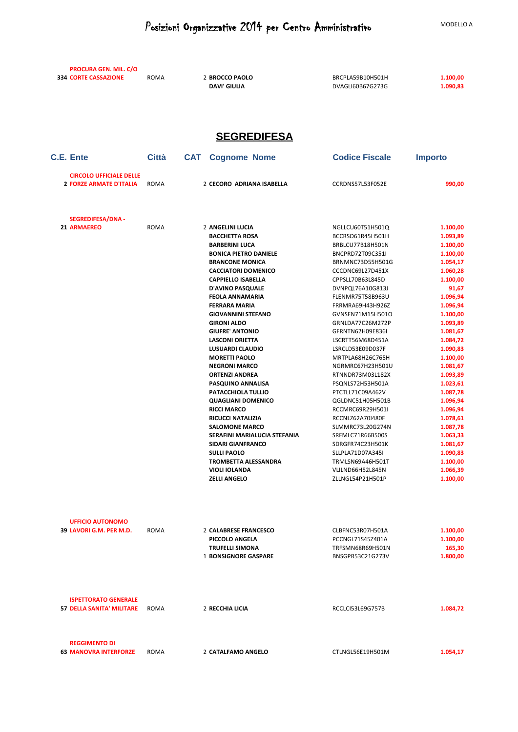**PROCURA GEN. MIL. C/O** 

| <b>334 CORTE CASSAZIONE</b>                                      | ROMA         | 2 BROCCO PAOLO<br><b>DAVI' GIULIA</b>                             | BRCPLA59B10H501H<br>DVAGLI60B67G273G                     | 1.100,00<br>1.090,83           |
|------------------------------------------------------------------|--------------|-------------------------------------------------------------------|----------------------------------------------------------|--------------------------------|
|                                                                  |              | <b>SEGREDIFESA</b>                                                |                                                          |                                |
| C.E. Ente                                                        | <b>Città</b> | <b>CAT</b><br><b>Cognome Nome</b>                                 | <b>Codice Fiscale</b>                                    | <b>Importo</b>                 |
| <b>CIRCOLO UFFICIALE DELLE</b><br><b>2 FORZE ARMATE D'ITALIA</b> | ROMA         | 2 CECORO ADRIANA ISABELLA                                         | CCRDNS57L53F052E                                         | 990,00                         |
| <b>SEGREDIFESA/DNA -</b>                                         |              |                                                                   |                                                          |                                |
| 21 ARMAEREO                                                      | ROMA         | 2 ANGELINI LUCIA                                                  | NGLLCU60T51H501Q                                         | 1.100,00                       |
|                                                                  |              | <b>BACCHETTA ROSA</b>                                             | BCCRSO61R45H501H                                         | 1.093,89                       |
|                                                                  |              | <b>BARBERINI LUCA</b>                                             | BRBLCU77B18H501N                                         | 1.100,00                       |
|                                                                  |              | <b>BONICA PIETRO DANIELE</b><br><b>BRANCONE MONICA</b>            | BNCPRD72T09C351I<br>BRNMNC73D55H501G                     | 1.100,00<br>1.054,17           |
|                                                                  |              | <b>CACCIATORI DOMENICO</b>                                        | CCCDNC69L27D451X                                         | 1.060,28                       |
|                                                                  |              | <b>CAPPIELLO ISABELLA</b>                                         | CPPSLL70B63L845D                                         | 1.100,00                       |
|                                                                  |              | <b>D'AVINO PASQUALE</b>                                           | DVNPQL76A10G813J                                         | 91,67                          |
|                                                                  |              | <b>FEOLA ANNAMARIA</b>                                            | FLENMR75T58B963U                                         | 1.096,94                       |
|                                                                  |              | <b>FERRARA MARIA</b>                                              | FRRMRA69H43H926Z                                         | 1.096,94                       |
|                                                                  |              | <b>GIOVANNINI STEFANO</b>                                         | GVNSFN71M15H501O                                         | 1.100,00                       |
|                                                                  |              | <b>GIRONI ALDO</b>                                                | GRNLDA77C26M272P                                         | 1.093,89                       |
|                                                                  |              | <b>GIUFRE' ANTONIO</b>                                            | GFRNTN62H09E836I                                         | 1.081,67                       |
|                                                                  |              | <b>LASCONI ORIETTA</b><br>LUSUARDI CLAUDIO                        | LSCRTT56M68D451A<br>LSRCLD53E09D037F                     | 1.084,72<br>1.090,83           |
|                                                                  |              | <b>MORETTI PAOLO</b>                                              | MRTPLA68H26C765H                                         | 1.100,00                       |
|                                                                  |              | <b>NEGRONI MARCO</b>                                              | NGRMRC67H23H501U                                         | 1.081,67                       |
|                                                                  |              | <b>ORTENZI ANDREA</b>                                             | RTNNDR73M03L182X                                         | 1.093,89                       |
|                                                                  |              | PASQUINO ANNALISA                                                 | PSQNLS72H53H501A                                         | 1.023,61                       |
|                                                                  |              | PATACCHIOLA TULLIO                                                | PTCTLL71C09A462V                                         | 1.087,78                       |
|                                                                  |              | <b>QUAGLIANI DOMENICO</b>                                         | QGLDNC51H05H501B                                         | 1.096,94                       |
|                                                                  |              | <b>RICCI MARCO</b>                                                | RCCMRC69R29H501I                                         | 1.096,94                       |
|                                                                  |              | <b>RICUCCI NATALIZIA</b>                                          | RCCNLZ62A70I480F                                         | 1.078,61                       |
|                                                                  |              | <b>SALOMONE MARCO</b>                                             | SLMMRC73L20G274N                                         | 1.087,78                       |
|                                                                  |              | SERAFINI MARIALUCIA STEFANIA                                      | SRFMLC71R66B500S                                         | 1.063,33                       |
|                                                                  |              | <b>SIDARI GIANFRANCO</b><br><b>SULLI PAOLO</b>                    | SDRGFR74C23H501K<br>SLLPLA71D07A345I                     | 1.081,67<br>1.090,83           |
|                                                                  |              | <b>TROMBETTA ALESSANDRA</b>                                       | TRMLSN69A46H501T                                         | 1.100,00                       |
|                                                                  |              | <b>VIOLI IOLANDA</b>                                              | VLILND66H52L845N                                         | 1.066,39                       |
|                                                                  |              | <b>ZELLI ANGELO</b>                                               | ZLLNGL54P21H501P                                         | 1.100,00                       |
| <b>UFFICIO AUTONOMO</b><br>39 LAVORI G.M. PER M.D.               | ROMA         | 2 CALABRESE FRANCESCO<br>PICCOLO ANGELA<br><b>TRUFELLI SIMONA</b> | CLBFNC53R07H501A<br>PCCNGL71S45Z401A<br>TRFSMN68R69H501N | 1.100,00<br>1.100,00<br>165,30 |
| <b>ISPETTORATO GENERALE</b>                                      |              | <b>1 BONSIGNORE GASPARE</b>                                       | BNSGPR53C21G273V                                         | 1.800,00                       |
| <b>57 DELLA SANITA' MILITARE</b>                                 | ROMA         | 2 RECCHIA LICIA                                                   | RCCLCI53L69G757B                                         | 1.084,72                       |
| <b>REGGIMENTO DI</b><br><b>63 MANOVRA INTERFORZE</b>             | ROMA         | 2 CATALFAMO ANGELO                                                | CTLNGL56E19H501M                                         | 1.054,17                       |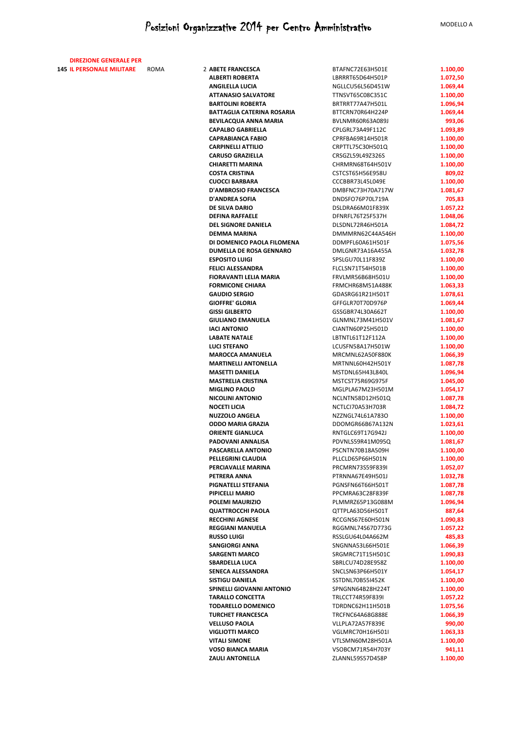| <b>DIREZIONE GENERALE PER</b>    |      |                                                        |                                      |                      |
|----------------------------------|------|--------------------------------------------------------|--------------------------------------|----------------------|
| <b>145 IL PERSONALE MILITARE</b> | ROMA | 2 ABETE FRANCESCA                                      | BTAFNC72E63H501E                     | 1.100,00             |
|                                  |      | <b>ALBERTI ROBERTA</b>                                 | LBRRRT65D64H501P                     | 1.072,50             |
|                                  |      | <b>ANGILELLA LUCIA</b>                                 | NGLLCU56L56D451W                     | 1.069,44             |
|                                  |      | <b>ATTANASIO SALVATORE</b><br><b>BARTOLINI ROBERTA</b> | TTNSVT65C08C351C<br>BRTRRT77A47H501L | 1.100,00<br>1.096,94 |
|                                  |      | <b>BATTAGLIA CATERINA ROSARIA</b>                      | BTTCRN70R64H224P                     | 1.069,44             |
|                                  |      | BEVILACQUA ANNA MARIA                                  | BVLNMR60R63A089J                     | 993,06               |
|                                  |      | <b>CAPALBO GABRIELLA</b>                               | CPLGRL73A49F112C                     | 1.093,89             |
|                                  |      | <b>CAPRABIANCA FABIO</b>                               | CPRFBA69R14H501R                     | 1.100,00             |
|                                  |      | <b>CARPINELLI ATTILIO</b>                              | CRPTTL75C30H501Q                     | 1.100,00             |
|                                  |      | <b>CARUSO GRAZIELLA</b>                                | CRSGZL59L49Z326S                     | 1.100,00             |
|                                  |      | <b>CHIARETTI MARINA</b>                                | CHRMRN68T64H501V                     | 1.100,00             |
|                                  |      | <b>COSTA CRISTINA</b>                                  | CSTCST65H56E958U                     | 809,02               |
|                                  |      | <b>CUOCCI BARBARA</b>                                  | CCCBBR73L45L049E                     | 1.100,00             |
|                                  |      | <b>D'AMBROSIO FRANCESCA</b><br><b>D'ANDREA SOFIA</b>   | DMBFNC73H70A717W<br>DNDSFO76P70L719A | 1.081,67<br>705,83   |
|                                  |      | DE SILVA DARIO                                         | DSLDRA66M01F839X                     | 1.057,22             |
|                                  |      | <b>DEFINA RAFFAELE</b>                                 | DFNRFL76T25F537H                     | 1.048,06             |
|                                  |      | <b>DEL SIGNORE DANIELA</b>                             | DLSDNL72R46H501A                     | 1.084,72             |
|                                  |      | DEMMA MARINA                                           | DMMMRN62C44A546H                     | 1.100,00             |
|                                  |      | DI DOMENICO PAOLA FILOMENA                             | DDMPFL60A61H501F                     | 1.075,56             |
|                                  |      | <b>DUMELLA DE ROSA GENNARO</b>                         | DMLGNR73A16A455A                     | 1.032,78             |
|                                  |      | <b>ESPOSITO LUIGI</b>                                  | SPSLGU70L11F839Z                     | 1.100,00             |
|                                  |      | <b>FELICI ALESSANDRA</b>                               | FLCLSN71T54H501B                     | 1.100,00             |
|                                  |      | <b>FIORAVANTI LELIA MARIA</b>                          | FRVLMR56B68H501U                     | 1.100,00             |
|                                  |      | <b>FORMICONE CHIARA</b><br><b>GAUDIO SERGIO</b>        | FRMCHR68M51A488K<br>GDASRG61R21H501T | 1.063,33<br>1.078,61 |
|                                  |      | <b>GIOFFRE' GLORIA</b>                                 | GFFGLR70T70D976P                     | 1.069,44             |
|                                  |      | <b>GISSI GILBERTO</b>                                  | GSSGBR74L30A662T                     | 1.100,00             |
|                                  |      | <b>GIULIANO EMANUELA</b>                               | GLNMNL73M41H501V                     | 1.081,67             |
|                                  |      | <b>IACI ANTONIO</b>                                    | CIANTN60P25H501D                     | 1.100,00             |
|                                  |      | <b>LABATE NATALE</b>                                   | LBTNTL61T12F112A                     | 1.100,00             |
|                                  |      | <b>LUCI STEFANO</b>                                    | LCUSFN58A17H501W                     | 1.100,00             |
|                                  |      | <b>MAROCCA AMANUELA</b>                                | MRCMNL62A50F880K                     | 1.066,39             |
|                                  |      | <b>MARTINELLI ANTONELLA</b>                            | MRTNNL60H42H501Y                     | 1.087,78             |
|                                  |      | <b>MASETTI DANIELA</b><br><b>MASTRELIA CRISTINA</b>    | MSTDNL65H43L840L<br>MSTCST75R69G975F | 1.096,94<br>1.045,00 |
|                                  |      | <b>MIGLINO PAOLO</b>                                   | MGLPLA67M23H501M                     | 1.054,17             |
|                                  |      | <b>NICOLINI ANTONIO</b>                                | NCLNTN58D12H501Q                     | 1.087,78             |
|                                  |      | <b>NOCETI LICIA</b>                                    | NCTLCI70A53H703R                     | 1.084,72             |
|                                  |      | <b>NUZZOLO ANGELA</b>                                  | NZZNGL74L61A783O                     | 1.100,00             |
|                                  |      | <b>ODDO MARIA GRAZIA</b>                               | DDOMGR66B67A132N                     | 1.023,61             |
|                                  |      | <b>ORIENTE GIANLUCA</b>                                | RNTGLC69T17G942J                     | 1.100,00             |
|                                  |      | PADOVANI ANNALISA                                      | PDVNLS59R41M095Q                     | 1.081,67             |
|                                  |      | PASCARELLA ANTONIO<br>PELLEGRINI CLAUDIA               | PSCNTN70B18A509H                     | 1.100,00             |
|                                  |      | PERCIAVALLE MARINA                                     | PLLCLD65P66H501N<br>PRCMRN73S59F839I | 1.100,00<br>1.052,07 |
|                                  |      | PETRERA ANNA                                           | PTRNNA67E49H501J                     | 1.032,78             |
|                                  |      | PIGNATELLI STEFANIA                                    | PGNSFN66T66H501T                     | 1.087,78             |
|                                  |      | PIPICELLI MARIO                                        | PPCMRA63C28F839F                     | 1.087,78             |
|                                  |      | POLEMI MAURIZIO                                        | PLMMRZ65P13G088M                     | 1.096,94             |
|                                  |      | <b>QUATTROCCHI PAOLA</b>                               | QTTPLA63D56H501T                     | 887,64               |
|                                  |      | <b>RECCHINI AGNESE</b>                                 | RCCGNS67E60H501N                     | 1.090,83             |
|                                  |      | <b>REGGIANI MANUELA</b>                                | RGGMNL74S67D773G                     | 1.057,22             |
|                                  |      | <b>RUSSO LUIGI</b><br><b>SANGIORGI ANNA</b>            | RSSLGU64L04A662M<br>SNGNNA53L66H501E | 485,83<br>1.066,39   |
|                                  |      | <b>SARGENTI MARCO</b>                                  | SRGMRC71T15H501C                     | 1.090,83             |
|                                  |      | <b>SBARDELLA LUCA</b>                                  | SBRLCU74D28E958Z                     | 1.100,00             |
|                                  |      | SENECA ALESSANDRA                                      | SNCLSN63P66H501Y                     | 1.054,17             |
|                                  |      | <b>SISTIGU DANIELA</b>                                 | SSTDNL70B55I452K                     | 1.100,00             |
|                                  |      | SPINELLI GIOVANNI ANTONIO                              | SPNGNN64B28H224T                     | 1.100,00             |
|                                  |      | <b>TARALLO CONCETTA</b>                                | TRLCCT74R59F839I                     | 1.057,22             |
|                                  |      | <b>TODARELLO DOMENICO</b>                              | TDRDNC62H11H501B                     | 1.075,56             |
|                                  |      | <b>TURCHET FRANCESCA</b>                               | TRCFNC64A68G888E                     | 1.066,39             |
|                                  |      | <b>VELLUSO PAOLA</b><br><b>VIGLIOTTI MARCO</b>         | VLLPLA72A57F839E<br>VGLMRC70H16H501I | 990,00<br>1.063,33   |
|                                  |      | <b>VITALI SIMONE</b>                                   | VTLSMN60M28H501A                     | 1.100,00             |
|                                  |      | <b>VOSO BIANCA MARIA</b>                               | VSOBCM71R54H703Y                     | 941,11               |
|                                  |      | <b>ZAULI ANTONELLA</b>                                 | ZLANNL59S57D458P                     | 1.100,00             |
|                                  |      |                                                        |                                      |                      |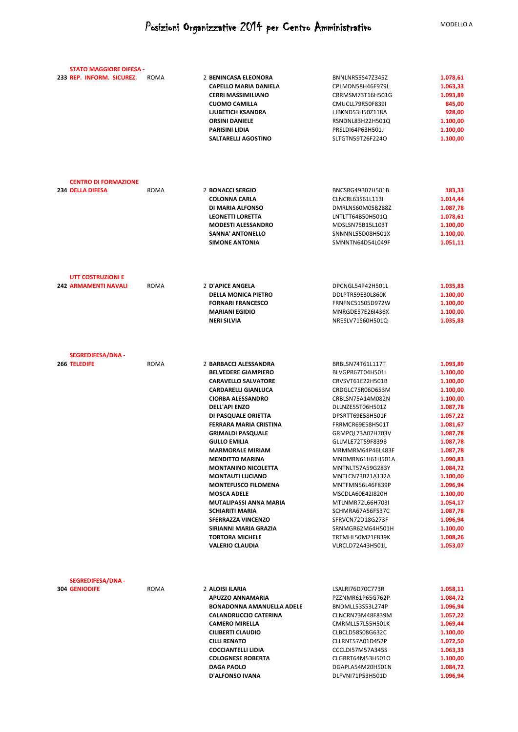| <b>STATO MAGGIORE DIFESA -</b>                   |             |                              |                  |          |
|--------------------------------------------------|-------------|------------------------------|------------------|----------|
| 233 REP. INFORM. SICUREZ.                        | ROMA        | 2 BENINCASA ELEONORA         | BNNLNR55S47Z345Z | 1.078,61 |
|                                                  |             | <b>CAPELLO MARIA DANIELA</b> | CPLMDN58H46F979L | 1.063,33 |
|                                                  |             | <b>CERRI MASSIMILIANO</b>    | CRRMSM73T16H501G | 1.093,89 |
|                                                  |             | <b>CUOMO CAMILLA</b>         | CMUCLL79R50F839I | 845,00   |
|                                                  |             | <b>LJUBETICH KSANDRA</b>     | LJBKND53H50Z118A | 928,00   |
|                                                  |             | <b>ORSINI DANIELE</b>        | RSNDNL83H22H501Q | 1.100,00 |
|                                                  |             | <b>PARISINI LIDIA</b>        | PRSLDI64P63H501J | 1.100,00 |
|                                                  |             | SALTARELLI AGOSTINO          | SLTGTN59T26F224O | 1.100,00 |
|                                                  |             |                              |                  |          |
|                                                  |             |                              |                  |          |
| <b>CENTRO DI FORMAZIONE</b>                      |             |                              |                  |          |
| <b>234 DELLA DIFESA</b>                          | ROMA        | 2 BONACCI SERGIO             | BNCSRG49B07H501B | 183,33   |
|                                                  |             | <b>COLONNA CARLA</b>         | CLNCRL63S61L113I | 1.014,44 |
|                                                  |             | DI MARIA ALFONSO             | DMRLNS60M05B288Z | 1.087,78 |
|                                                  |             | <b>LEONETTI LORETTA</b>      | LNTLTT64B50H501Q | 1.078,61 |
|                                                  |             | <b>MODESTI ALESSANDRO</b>    | MDSLSN75B15L103T | 1.100,00 |
|                                                  |             | SANNA' ANTONELLO             | SNNNNL55D08H501X | 1.100,00 |
|                                                  |             | <b>SIMONE ANTONIA</b>        | SMNNTN64D54L049F | 1.051,11 |
| UTT COSTRUZIONI E                                |             |                              |                  |          |
| <b>242 ARMAMENTI NAVALI</b>                      | ROMA        | 2 D'APICE ANGELA             | DPCNGL54P42H501L | 1.035,83 |
|                                                  |             | <b>DELLA MONICA PIETRO</b>   | DDLPTR59E30L860K | 1.100,00 |
|                                                  |             | <b>FORNARI FRANCESCO</b>     | FRNFNC51S05D972W | 1.100,00 |
|                                                  |             | <b>MARIANI EGIDIO</b>        | MNRGDE57E26I436X | 1.100,00 |
|                                                  |             | <b>NERI SILVIA</b>           | NRESLV71S60H501Q | 1.035,83 |
|                                                  |             |                              |                  |          |
| <b>SEGREDIFESA/DNA -</b><br>266 TELEDIFE         | <b>ROMA</b> | 2 BARBACCI ALESSANDRA        | BRBLSN74T61L117T | 1.093,89 |
|                                                  |             | <b>BELVEDERE GIAMPIERO</b>   | BLVGPR67T04H501I | 1.100,00 |
|                                                  |             | <b>CARAVELLO SALVATORE</b>   | CRVSVT61E22H501B | 1.100,00 |
|                                                  |             | <b>CARDARELLI GIANLUCA</b>   | CRDGLC75R06D653M | 1.100,00 |
|                                                  |             | <b>CIORBA ALESSANDRO</b>     | CRBLSN75A14M082N | 1.100,00 |
|                                                  |             | <b>DELL'API ENZO</b>         | DLLNZE55T06H501Z | 1.087,78 |
|                                                  |             | DI PASQUALE ORIETTA          | DPSRTT69E58H501F | 1.057,22 |
|                                                  |             | FERRARA MARIA CRISTINA       | FRRMCR69E58H501T | 1.081,67 |
|                                                  |             | <b>GRIMALDI PASQUALE</b>     | GRMPQL73A07H703V | 1.087,78 |
|                                                  |             | <b>GULLO EMILIA</b>          | GLLMLE72T59F839B | 1.087,78 |
|                                                  |             | <b>MARMORALE MIRIAM</b>      | MRMMRM64P46L483F | 1.087,78 |
|                                                  |             | <b>MENDITTO MARINA</b>       | MNDMRN61H61H501A | 1.090,83 |
|                                                  |             | <b>MONTANINO NICOLETTA</b>   | MNTNLT57A59G283Y | 1.084,72 |
|                                                  |             | <b>MONTAUTI LUCIANO</b>      | MNTLCN73B21A132A | 1.100,00 |
|                                                  |             | <b>MONTEFUSCO FILOMENA</b>   | MNTFMN56L46F839P | 1.096,94 |
|                                                  |             | <b>MOSCA ADELE</b>           | MSCDLA60E42I820H | 1.100,00 |
|                                                  |             | MUTALIPASSI ANNA MARIA       | MTLNMR72L66H703I | 1.054,17 |
|                                                  |             | <b>SCHIARITI MARIA</b>       | SCHMRA67A56F537C | 1.087,78 |
|                                                  |             | SFERRAZZA VINCENZO           | SFRVCN72D18G273F | 1.096,94 |
|                                                  |             | SIRIANNI MARIA GRAZIA        | SRNMGR62M64H501H | 1.100,00 |
|                                                  |             | <b>TORTORA MICHELE</b>       | TRTMHL50M21F839K | 1.008,26 |
|                                                  |             | <b>VALERIO CLAUDIA</b>       | VLRCLD72A43H501L | 1.053,07 |
|                                                  |             |                              |                  |          |
| <b>SEGREDIFESA/DNA -</b><br><b>304 GENIODIFE</b> | ROMA        | 2 ALOISI ILARIA              | LSALRI76D70C773R | 1.058,11 |
|                                                  |             | APUZZO ANNAMARIA             | PZZNMR61P65G762P | 1.084,72 |
|                                                  |             | BONADONNA AMANUELLA ADELE    | BNDMLL53S53L274P | 1.096,94 |
|                                                  |             | <b>CALANDRUCCIO CATERINA</b> | CLNCRN73M48F839M | 1.057,22 |
|                                                  |             | <b>CAMERO MIRELLA</b>        | CMRMLL57L55H501K | 1.069,44 |
|                                                  |             | <b>CILIBERTI CLAUDIO</b>     | CLBCLD58S08G632C | 1.100,00 |
|                                                  |             | <b>CILLI RENATO</b>          | CLLRNT57A01D452P | 1.072,50 |
|                                                  |             | <b>COCCIANTELLI LIDIA</b>    | CCCLDI57M57A345S | 1.063,33 |
|                                                  |             | <b>COLOGNESE ROBERTA</b>     | CLGRRT64M53H501O | 1.100,00 |
|                                                  |             | <b>DAGA PAOLO</b>            | DGAPLA54M20H501N | 1.084,72 |
|                                                  |             | D'ALFONSO IVANA              | DLFVNI71P53H501D | 1.096,94 |
|                                                  |             |                              |                  |          |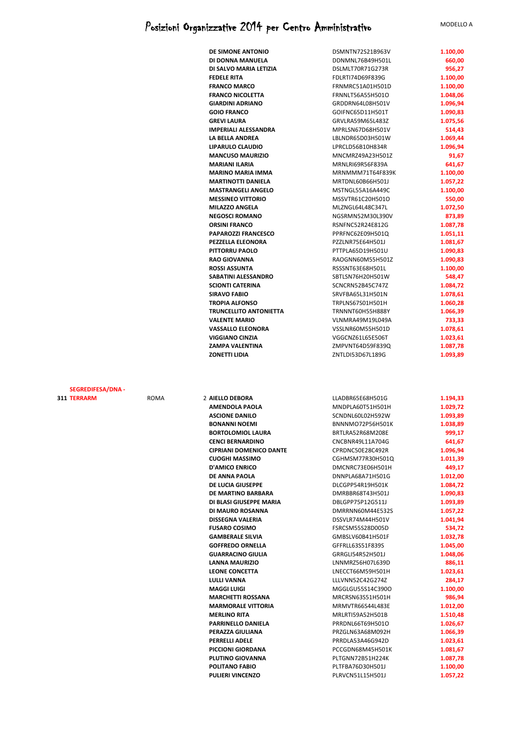|                   |      | <b>DE SIMONE ANTONIO</b>                              | DSMNTN72S21B963V                            | 1.100,00             |
|-------------------|------|-------------------------------------------------------|---------------------------------------------|----------------------|
|                   |      | DI DONNA MANUELA                                      | DDNMNL76B49H501L                            | 660,00               |
|                   |      | DI SALVO MARIA LETIZIA                                | DSLMLT70R71G273R                            | 956,27               |
|                   |      | <b>FEDELE RITA</b>                                    | FDLRTI74D69F839G                            | 1.100,00             |
|                   |      | <b>FRANCO MARCO</b><br><b>FRANCO NICOLETTA</b>        | FRNMRC51A01H501D<br>FRNNLT56A55H501O        | 1.100,00<br>1.048,06 |
|                   |      | <b>GIARDINI ADRIANO</b>                               | GRDDRN64L08H501V                            | 1.096,94             |
|                   |      | <b>GOIO FRANCO</b>                                    | GOIFNC65D11H501T                            | 1.090,83             |
|                   |      | <b>GREVI LAURA</b>                                    | GRVLRA59M65L483Z                            | 1.075,56             |
|                   |      | <b>IMPERIALI ALESSANDRA</b>                           | MPRLSN67D68H501V                            | 514,43               |
|                   |      | LA BELLA ANDREA                                       | LBLNDR65D03H501W                            | 1.069,44             |
|                   |      | LIPARULO CLAUDIO                                      | LPRCLD56B10H834R                            | 1.096,94             |
|                   |      | <b>MANCUSO MAURIZIO</b>                               | MNCMRZ49A23H501Z                            | 91,67                |
|                   |      | <b>MARIANI ILARIA</b><br><b>MARINO MARIA IMMA</b>     | MRNLRI69R56F839A<br>MRNMMM71T64F839K        | 641,67<br>1.100,00   |
|                   |      | <b>MARTINOTTI DANIELA</b>                             | MRTDNL60B66H501J                            | 1.057,22             |
|                   |      | <b>MASTRANGELI ANGELO</b>                             | MSTNGL55A16A449C                            | 1.100,00             |
|                   |      | <b>MESSINEO VITTORIO</b>                              | MSSVTR61C20H501O                            | 550,00               |
|                   |      | <b>MILAZZO ANGELA</b>                                 | MLZNGL64L48C347L                            | 1.072,50             |
|                   |      | <b>NEGOSCI ROMANO</b>                                 | NGSRMN52M30L390V                            | 873,89               |
|                   |      | <b>ORSINI FRANCO</b>                                  | RSNFNC52R24E812G                            | 1.087,78             |
|                   |      | <b>PAPAROZZI FRANCESCO</b>                            | PPRFNC62E09H501Q                            | 1.051,11             |
|                   |      | PEZZELLA ELEONORA<br>PITTORRU PAOLO                   | PZZLNR75E64H501J<br>PTTPLA65D19H501U        | 1.081,67<br>1.090,83 |
|                   |      | <b>RAO GIOVANNA</b>                                   | RAOGNN60M55H501Z                            | 1.090,83             |
|                   |      | <b>ROSSI ASSUNTA</b>                                  | RSSSNT63E68H501L                            | 1.100,00             |
|                   |      | SABATINI ALESSANDRO                                   | SBTLSN76H20H501W                            | 548,47               |
|                   |      | <b>SCIONTI CATERINA</b>                               | SCNCRN52B45C747Z                            | 1.084,72             |
|                   |      | <b>SIRAVO FABIO</b>                                   | SRVFBA65L31H501N                            | 1.078,61             |
|                   |      | <b>TROPIA ALFONSO</b>                                 | TRPLNS67S01H501H                            | 1.060,28             |
|                   |      | <b>TRUNCELLITO ANTONIETTA</b><br><b>VALENTE MARIO</b> | <b>TRNNNT60H55H888Y</b><br>VLNMRA49M19L049A | 1.066,39<br>733,33   |
|                   |      | <b>VASSALLO ELEONORA</b>                              | VSSLNR60M55H501D                            | 1.078,61             |
|                   |      | <b>VIGGIANO CINZIA</b>                                | VGGCNZ61L65E506T                            | 1.023,61             |
|                   |      | ZAMPA VALENTINA                                       | ZMPVNT64D59F839Q                            | 1.087,78             |
|                   |      |                                                       |                                             |                      |
|                   |      |                                                       |                                             |                      |
| SEGREDIFESA/DNA - |      |                                                       |                                             |                      |
| <b>TERRARM</b>    | ROMA | 2 AIELLO DEBORA                                       | LLADBR65E68H501G                            | 1.194,33             |
|                   |      | <b>AMENDOLA PAOLA</b>                                 | MNDPLA60T51H501H                            | 1.029,72             |
|                   |      | <b>ASCIONE DANILO</b><br><b>BONANNI NOEMI</b>         | SCNDNL60L02H592W<br>BNNNMO72P56H501K        | 1.093,89<br>1.038,89 |
|                   |      | <b>BORTOLOMIOL LAURA</b>                              | BRTLRA52R68M208E                            | 999,17               |
|                   |      | <b>CENCI BERNARDINO</b>                               | CNCBNR49L11A704G                            | 641,67               |
|                   |      | <b>CIPRIANI DOMENICO DANTE</b>                        | CPRDNC50E28C492R                            | 1.096,94             |
|                   |      | <b>CUOGHI MASSIMO</b>                                 | CGHMSM77R30H501Q                            | 1.011,39             |
|                   |      | <b>D'AMICO ENRICO</b>                                 | DMCNRC73E06H501H                            | 449,17               |
|                   |      | DE ANNA PAOLA                                         | DNNPLA68A71H501G                            | 1.012,00             |
|                   |      | DE LUCIA GIUSEPPE<br>DE MARTINO BARBARA               | DLCGPP54R19H501K<br>DMRBBR68T43H501J        | 1.084,72<br>1.090,83 |
|                   |      | DI BLASI GIUSEPPE MARIA                               | DBLGPP75P12G511J                            | 1.093,89             |
|                   |      | DI MAURO ROSANNA                                      | DMRRNN60M44E532S                            | 1.057,22             |
|                   |      | <b>DISSEGNA VALERIA</b>                               | DSSVLR74M44H501V                            | 1.041,94             |
|                   |      | <b>FUSARO COSIMO</b>                                  | FSRCSM55S28D005D                            | 534,72               |
|                   |      | <b>GAMBERALE SILVIA</b>                               | GMBSLV60B41H501F                            | 1.032,78             |
|                   |      | <b>GOFFREDO ORNELLA</b>                               | GFFRLL63S51F839S                            | 1.045,00             |
|                   |      | <b>GUARRACINO GIULIA</b><br><b>LANNA MAURIZIO</b>     | GRRGLI54R52H501J<br>LNNMRZ56H07L639D        | 1.048,06<br>886,11   |
|                   |      | <b>LEONE CONCETTA</b>                                 | LNECCT66M59H501H                            | 1.023,61             |
|                   |      | <b>LULLI VANNA</b>                                    | LLLVNN52C42G274Z                            | 284,17               |
|                   |      | <b>MAGGI LUIGI</b>                                    | MGGLGU55S14C390O                            | 1.100,00             |
|                   |      | <b>MARCHETTI ROSSANA</b>                              | MRCRSN63S51H501H                            | 986,94               |
|                   |      | <b>MARMORALE VITTORIA</b>                             | MRMVTR66S44L483E                            | 1.012,00             |
|                   |      | <b>MERLINO RITA</b><br>PARRINELLO DANIELA             | MRLRTI59A52H501B<br>PRRDNL66T69H501O        | 1.510,48<br>1.026,67 |
|                   |      | PERAZZA GIULIANA                                      | PRZGLN63A68M092H                            | 1.066,39             |
|                   |      | PERRELLI ADELE                                        | PRRDLA53A46G942D                            | 1.023,61             |
|                   |      | PICCIONI GIORDANA                                     | PCCGDN68M45H501K                            | 1.081,67             |
|                   |      | PLUTINO GIOVANNA                                      | PLTGNN72B51H224K                            | 1.087,78             |
|                   |      | POLITANO FABIO<br><b>PULIERI VINCENZO</b>             | PLTFBA76D30H501J<br>PLRVCN51L15H501J        | 1.100,00<br>1.057,22 |

**311**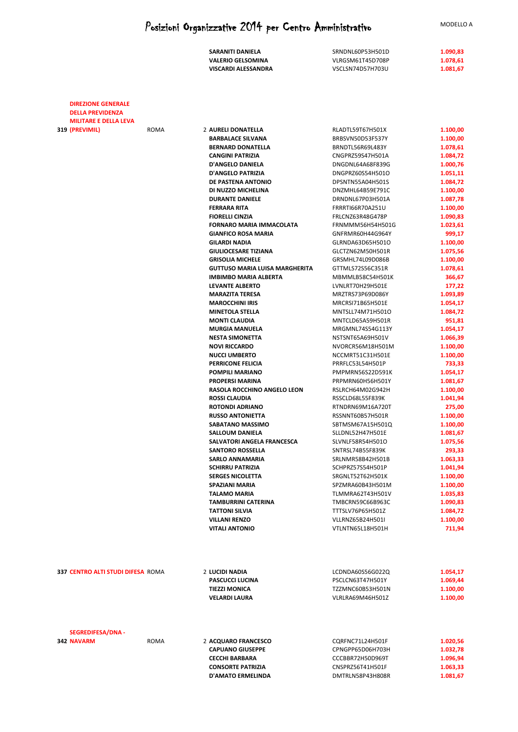| SARANITI DANIELA         | SRNDNL60P53H501D | 1.090,83 |
|--------------------------|------------------|----------|
| <b>VALERIO GELSOMINA</b> | VLRGSM61T45D708P | 1.078,61 |
| VISCARDI ALESSANDRA      | VSCLSN74D57H703U | 1.081,67 |

| <b>DIREZIONE GENERALE</b>                |      |                                       |                  |          |
|------------------------------------------|------|---------------------------------------|------------------|----------|
| <b>DELLA PREVIDENZA</b>                  |      |                                       |                  |          |
| <b>MILITARE E DELLA LEVA</b>             |      |                                       |                  |          |
| 319 (PREVIMIL)                           | ROMA | 2 AURELI DONATELLA                    | RLADTL59T67H501X | 1.100,00 |
|                                          |      | <b>BARBALACE SILVANA</b>              | BRBSVN50D53F537Y | 1.100,00 |
|                                          |      | <b>BERNARD DONATELLA</b>              | BRNDTL56R69L483Y | 1.078,61 |
|                                          |      | <b>CANGINI PATRIZIA</b>               | CNGPRZ59S47H501A | 1.084,72 |
|                                          |      | <b>D'ANGELO DANIELA</b>               | DNGDNL64A68F839G | 1.000,76 |
|                                          |      | D'ANGELO PATRIZIA                     | DNGPRZ60S54H501O | 1.051,11 |
|                                          |      | DE PASTENA ANTONIO                    | DPSNTN55A04H501S | 1.084,72 |
|                                          |      | DI NUZZO MICHELINA                    | DNZMHL64B59E791C | 1.100,00 |
|                                          |      | <b>DURANTE DANIELE</b>                | DRNDNL67P03H501A | 1.087,78 |
|                                          |      | <b>FERRARA RITA</b>                   | FRRRTI66R70A251U | 1.100,00 |
|                                          |      | <b>FIORELLI CINZIA</b>                | FRLCNZ63R48G478P | 1.090,83 |
|                                          |      | <b>FORNARO MARIA IMMACOLATA</b>       | FRNMMM56H54H501G | 1.023,61 |
|                                          |      | <b>GIANFICO ROSA MARIA</b>            | GNFRMR60H44G964Y | 999,17   |
|                                          |      | <b>GILARDI NADIA</b>                  | GLRNDA63D65H501O | 1.100,00 |
|                                          |      | <b>GIULIOCESARE TIZIANA</b>           | GLCTZN62M50H501R | 1.075,56 |
|                                          |      | <b>GRISOLIA MICHELE</b>               | GRSMHL74L09D086B | 1.100,00 |
|                                          |      | <b>GUTTUSO MARIA LUISA MARGHERITA</b> | GTTMLS72S56C351R | 1.078,61 |
|                                          |      | <b>IMBIMBO MARIA ALBERTA</b>          | MBMMLB58C54H501K | 366,67   |
|                                          |      | <b>LEVANTE ALBERTO</b>                | LVNLRT70H29H501E | 177,22   |
|                                          |      | <b>MARAZITA TERESA</b>                | MRZTRS73P69D086Y | 1.093,89 |
|                                          |      | <b>MAROCCHINI IRIS</b>                | MRCRSI71B65H501E | 1.054,17 |
|                                          |      | <b>MINETOLA STELLA</b>                | MNTSLL74M71H501O | 1.084,72 |
|                                          |      | <b>MONTI CLAUDIA</b>                  | MNTCLD65A59H501R | 951,81   |
|                                          |      | <b>MURGIA MANUELA</b>                 | MRGMNL74S54G113Y | 1.054,17 |
|                                          |      | <b>NESTA SIMONETTA</b>                | NSTSNT65A69H501V | 1.066,39 |
|                                          |      | <b>NOVI RICCARDO</b>                  | NVORCR56M18H501M | 1.100,00 |
|                                          |      |                                       |                  |          |
|                                          |      | <b>NUCCI UMBERTO</b>                  | NCCMRT51C31H501E | 1.100,00 |
|                                          |      | PERRICONE FELICIA                     | PRRFLC53L54H501P | 733,33   |
|                                          |      | POMPILI MARIANO                       | PMPMRN56S22D591K | 1.054,17 |
|                                          |      | <b>PROPERSI MARINA</b>                | PRPMRN60H56H501Y | 1.081,67 |
|                                          |      | RASOLA ROCCHINO ANGELO LEON           | RSLRCH64M02G942H | 1.100,00 |
|                                          |      | <b>ROSSI CLAUDIA</b>                  | RSSCLD68L55F839K | 1.041,94 |
|                                          |      | <b>ROTONDI ADRIANO</b>                | RTNDRN69M16A720T | 275,00   |
|                                          |      | <b>RUSSO ANTONIETTA</b>               | RSSNNT60B57H501R | 1.100,00 |
|                                          |      | SABATANO MASSIMO                      | SBTMSM67A15H501Q | 1.100,00 |
|                                          |      | <b>SALLOUM DANIELA</b>                | SLLDNL52H47H501E | 1.081,67 |
|                                          |      | SALVATORI ANGELA FRANCESCA            | SLVNLF58R54H501O | 1.075,56 |
|                                          |      | <b>SANTORO ROSSELLA</b>               | SNTRSL74B55F839K | 293,33   |
|                                          |      | <b>SARLO ANNAMARIA</b>                | SRLNMR58B42H501B | 1.063,33 |
|                                          |      | <b>SCHIRRU PATRIZIA</b>               | SCHPRZ57S54H501P | 1.041,94 |
|                                          |      | <b>SERGES NICOLETTA</b>               | SRGNLT52T62H501K | 1.100,00 |
|                                          |      | <b>SPAZIANI MARIA</b>                 | SPZMRA60B43H501M | 1.100,00 |
|                                          |      | <b>TALAMO MARIA</b>                   | TLMMRA62T43H501V | 1.035,83 |
|                                          |      | TAMBURRINI CATERINA                   | TMBCRN59C66B963C | 1.090,83 |
|                                          |      | <b>TATTONI SILVIA</b>                 | TTTSLV76P65H501Z | 1.084,72 |
|                                          |      | <b>VILLANI RENZO</b>                  | VLLRNZ65B24H501I | 1.100,00 |
|                                          |      | <b>VITALI ANTONIO</b>                 | VTLNTN65L18H501H | 711,94   |
|                                          |      |                                       |                  |          |
| <b>337 CENTRO ALTI STUDI DIFESA ROMA</b> |      | 2 LUCIDI NADIA                        | LCDNDA60S56G022Q | 1.054,17 |
|                                          |      | <b>PASCUCCI LUCINA</b>                | PSCLCN63T47H501Y | 1.069,44 |
|                                          |      | <b>TIEZZI MONICA</b>                  | TZZMNC60B53H501N | 1.100,00 |
|                                          |      | <b>VELARDI LAURA</b>                  | VLRLRA69M46H501Z | 1.100,00 |
| SEGREDIFESA/DNA -                        |      |                                       |                  |          |
| <b>342 NAVARM</b>                        | ROMA | 2 ACQUARO FRANCESCO                   | CQRFNC71L24H501F | 1.020,56 |
|                                          |      | <b>CAPUANO GIUSEPPE</b>               | CPNGPP65D06H703H | 1.032,78 |
|                                          |      | <b>CECCHI BARBARA</b>                 | CCCBBR72H50D969T | 1.096,94 |
|                                          |      | <b>CONSORTE PATRIZIA</b>              | CNSPRZ56T41H501F | 1.063,33 |
|                                          |      | D'AMATO ERMELINDA                     | DMTRLN58P43H808R | 1.081,67 |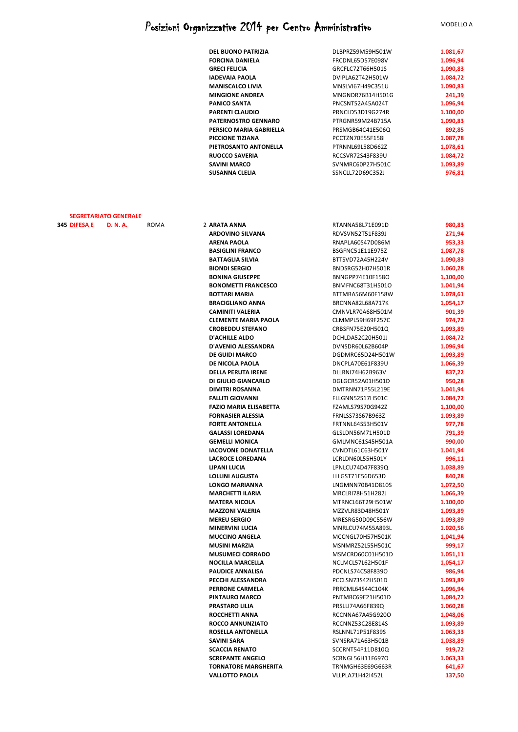| DEL BUONO PATRIZIA         | DLBPRZ59M59H501W | 1.081,67 |
|----------------------------|------------------|----------|
| <b>FORCINA DANIELA</b>     | FRCDNL65D57E098V | 1.096,94 |
| <b>GRECI FELICIA</b>       | GRCFLC72T66H501S | 1.090,83 |
| <b>IADEVAIA PAOLA</b>      | DVIPLA62T42H501W | 1.084,72 |
| <b>MANISCALCO LIVIA</b>    | MNSLVI67H49C351U | 1.090,83 |
| <b>MINGIONE ANDREA</b>     | MNGNDR76B14H501G | 241,39   |
| <b>PANICO SANTA</b>        | PNCSNT52A45A024T | 1.096,94 |
| PARENTI CLAUDIO            | PRNCLD53D19G274R | 1.100,00 |
| <b>PATERNOSTRO GENNARO</b> | PTRGNR59M24B715A | 1.090,83 |
| PERSICO MARIA GABRIELLA    | PRSMGB64C41E506Q | 892,85   |
| <b>PICCIONE TIZIANA</b>    | PCCTZN70E55F158I | 1.087,78 |
| PIETROSANTO ANTONELLA      | PTRNNL69L58D662Z | 1.078,61 |
| <b>RUOCCO SAVERIA</b>      | RCCSVR72S43F839U | 1.084,72 |
| <b>SAVINI MARCO</b>        | SVNMRC60P27H501C | 1.093,89 |
| SUSANNA CLELIA             | SSNCLL72D69C352J | 976,81   |

#### **SEGRETARIATO GENERALE**

| 345 DIFESA E | D. N. A. | ROMA | 2 ARATA ANNA                  | RTANNA58L71E091D | 980,83   |
|--------------|----------|------|-------------------------------|------------------|----------|
|              |          |      | <b>ARDOVINO SILVANA</b>       | RDVSVN52T51F839J | 271,94   |
|              |          |      | <b>ARENA PAOLA</b>            | RNAPLA60S47D086M | 953,33   |
|              |          |      | <b>BASIGLINI FRANCO</b>       | BSGFNC51E11E975Z | 1.087,78 |
|              |          |      | <b>BATTAGLIA SILVIA</b>       | BTTSVD72A45H224V | 1.090,83 |
|              |          |      | <b>BIONDI SERGIO</b>          | BNDSRG52H07H501R | 1.060,28 |
|              |          |      | <b>BONINA GIUSEPPE</b>        | BNNGPP74E10F158O | 1.100,00 |
|              |          |      | <b>BONOMETTI FRANCESCO</b>    | BNMFNC68T31H501O | 1.041,94 |
|              |          |      | <b>BOTTARI MARIA</b>          | BTTMRA56M60F158W | 1.078,61 |
|              |          |      | <b>BRACIGLIANO ANNA</b>       | BRCNNA82L68A717K | 1.054,17 |
|              |          |      | <b>CAMINITI VALERIA</b>       | CMNVLR70A68H501M | 901,39   |
|              |          |      | <b>CLEMENTE MARIA PAOLA</b>   | CLMMPL59H69F257C | 974,72   |
|              |          |      | <b>CROBEDDU STEFANO</b>       | CRBSFN75E20H501Q | 1.093,89 |
|              |          |      | <b>D'ACHILLE ALDO</b>         | DCHLDA52C20H501J | 1.084,72 |
|              |          |      | D'AVENIO ALESSANDRA           | DVNSDR60L62B604P | 1.096,94 |
|              |          |      | <b>DE GUIDI MARCO</b>         | DGDMRC65D24H501W | 1.093,89 |
|              |          |      | DE NICOLA PAOLA               | DNCPLA70E61F839U | 1.066,39 |
|              |          |      | <b>DELLA PERUTA IRENE</b>     | DLLRNI74H62B963V | 837,22   |
|              |          |      | DI GIULIO GIANCARLO           | DGLGCR52A01H501D | 950,28   |
|              |          |      | DIMITRI ROSANNA               | DMTRNN71P55L219E | 1.041,94 |
|              |          |      | <b>FALLITI GIOVANNI</b>       | FLLGNN52S17H501C | 1.084,72 |
|              |          |      | <b>FAZIO MARIA ELISABETTA</b> | FZAMLS79S70G942Z | 1.100,00 |
|              |          |      | <b>FORNASIER ALESSIA</b>      | FRNLSS73S67B963Z | 1.093,89 |
|              |          |      | <b>FORTE ANTONELLA</b>        | FRTNNL64S53H501V | 977,78   |
|              |          |      | <b>GALASSI LOREDANA</b>       | GLSLDN56M71H501D | 791,39   |
|              |          |      | <b>GEMELLI MONICA</b>         | GMLMNC61S45H501A | 990,00   |
|              |          |      | <b>IACOVONE DONATELLA</b>     | CVNDTL61C63H501Y | 1.041,94 |
|              |          |      | <b>LACROCE LOREDANA</b>       | LCRLDN60L55H501Y | 996,11   |
|              |          |      | <b>LIPANI LUCIA</b>           | LPNLCU74D47F839Q | 1.038,89 |
|              |          |      | <b>LOLLINI AUGUSTA</b>        | LLLGST71E56D653D | 840,28   |
|              |          |      | <b>LONGO MARIANNA</b>         | LNGMNN70B41D810S | 1.072,50 |
|              |          |      | <b>MARCHETTI ILARIA</b>       | MRCLRI78H51H282J | 1.066,39 |
|              |          |      | <b>MATERA NICOLA</b>          | MTRNCL66T29H501W | 1.100,00 |
|              |          |      | <b>MAZZONI VALERIA</b>        | MZZVLR83D48H501Y | 1.093,89 |
|              |          |      | <b>MEREU SERGIO</b>           | MRESRG50D09C556W | 1.093,89 |
|              |          |      | <b>MINERVINI LUCIA</b>        | MNRLCU74M55A893L | 1.020,56 |
|              |          |      | <b>MUCCINO ANGELA</b>         | MCCNGL70H57H501K | 1.041,94 |
|              |          |      | <b>MUSINI MARZIA</b>          | MSNMRZ52L55H501C | 999,17   |
|              |          |      | <b>MUSUMECI CORRADO</b>       | MSMCRD60C01H501D | 1.051,11 |
|              |          |      | <b>NOCILLA MARCELLA</b>       | NCLMCL57L62H501F | 1.054,17 |
|              |          |      | <b>PAUDICE ANNALISA</b>       | PDCNLS74C58F839O | 986,94   |
|              |          |      | PECCHI ALESSANDRA             | PCCLSN73S42H501D | 1.093,89 |
|              |          |      | PERRONE CARMELA               | PRRCML64S44C104K | 1.096,94 |
|              |          |      | PINTAURO MARCO                | PNTMRC69E21H501D | 1.084,72 |
|              |          |      | <b>PRASTARO LILIA</b>         | PRSLLI74A66F839Q | 1.060,28 |
|              |          |      | ROCCHETTI ANNA                | RCCNNA67A45G920O | 1.048,06 |
|              |          |      | ROCCO ANNUNZIATO              | RCCNNZ53C28E814S | 1.093,89 |
|              |          |      | ROSELLA ANTONELLA             | RSLNNL71P51F839S | 1.063,33 |
|              |          |      | SAVINI SARA                   | SVNSRA71A63H501B | 1.038,89 |
|              |          |      | <b>SCACCIA RENATO</b>         | SCCRNT54P11D810Q | 919,72   |
|              |          |      | <b>SCREPANTE ANGELO</b>       | SCRNGL56H11F697O | 1.063,33 |
|              |          |      | <b>TORNATORE MARGHERITA</b>   | TRNMGH63E69G663R | 641,67   |
|              |          |      | <b>VALLOTTO PAOLA</b>         | VLLPLA71H42I452L | 137,50   |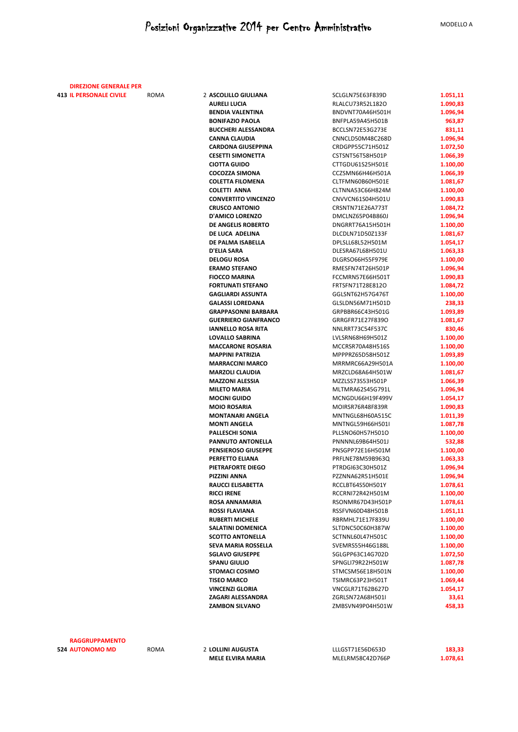| <b>DIREZIONE GENERALE PER</b> |     |
|-------------------------------|-----|
| 413 IL PERSONALE CIVILE       | RON |

**IL PERSONALE CIVILE ASCOLILLO GIULIANA AURELI LUCIA BENDIA VALENTINA BONIFAZIO PAOLA BUCCHERI ALESSANDRA CANNA CLAUDIA CARDONA GIUSEPPINA CESETTI SIMONETTA**  $CIOTTA GUIDO$  $COCOZZA$  SIMONA **COLETTA FILOMENA COLETTI ANNA CONVERTITO VINCENZO CRUSCO ANTONIO D'AMICO LORENZO DE ANGELIS ROBERTO DE LUCA ADELINA DE PALMA ISABELLA D'ELIA SARA DELOGU ROSA ERAMO STEFANO FIOCCO MARINA FORTUNATI STEFANO GAGLIARDI ASSUNTA GALASSI LOREDANA GRAPPASONNI BARBARA GUERRIERO GIANFRANCO IANNELLO ROSA RITA LOVALLO SABRINA MACCARONE ROSARIA MAPPINI PATRIZIA MARRACCINI MARCO MARZOLI CLAUDIA MAZZONI ALESSIA MILETO MARIA MOCINI GUIDO MOIO ROSARIA MONTANARI ANGELA MONTI ANGELA PALLESCHI SONIA PANNUTO ANTONELLA PENSIEROSO GIUSEPPE PERFETTO ELIANA PIETRAFORTE DIEGO PIZZINI ANNA RAUCCI ELISABETTA RICCI IRENE ROSA ANNAMARIA ROSSI FLAVIANA RUBERTI MICHELE SALATINI DOMENICA SCOTTO ANTONELLA SEVA MARIA ROSSELLA SGLAVO GIUSEPPE SPANU GIULIO STOMACI COSIMO TISEO MARCO VINCENZI GLORIA ZAGARI ALESSANDRA** ZGRLSN72A68H501I **33,61 ZAMBON SILVANO** 

| SCLGLN75E63F839D | 1.051,11 |
|------------------|----------|
| RLALCU73R52L182O | 1.090,83 |
| BNDVNT70A46H501H | 1.096,94 |
| BNFPLA59A45H501B | 963.87   |
| BCCLSN72E53G273E | 831,11   |
| CNNCLD50M48C268D | 1.096,94 |
| CRDGPP55C71H501Z | 1.072,50 |
| CSTSNT56T58H501P | 1.066,39 |
| CTTGDU61S25H501E | 1.100,00 |
| CCZSMN66H46H501A | 1.066,39 |
| CLTFMN60B60H501E | 1.081,67 |
| CLTNNA53C66H824M | 1.100.00 |
| CNVVCN61S04H501U | 1.090,83 |
| CRSNTN71E26A773T | 1.084,72 |
| DMCLNZ65P04B860J | 1.096,94 |
| DNGRRT76A15H501H | 1.100,00 |
| DLCDLN71D50Z133F | 1.081,67 |
| DPLSLL68L52H501M | 1.054,17 |
| DLESRA67L68H501U | 1.063,33 |
| DLGRSO66H55F979E | 1.100,00 |
| RMESFN74T26H501P | 1.096,94 |
| FCCMRN57E66H501T | 1.090,83 |
| FRTSFN71T28E812O |          |
| GGLSNT62H57G476T | 1.084,72 |
|                  | 1.100,00 |
| GLSLDN56M71H501D | 238,33   |
| GRPBBR66C43H501G | 1.093,89 |
| GRRGFR71E27F839O | 1.081,67 |
| NNLRRT73C54F537C | 830,46   |
| LVLSRN68H69H501Z | 1.100,00 |
| MCCRSR70A48H516S | 1.100,00 |
| MPPPRZ65D58H501Z | 1.093,89 |
| MRRMRC66A29H501A | 1.100,00 |
| MRZCLD68A64H501W | 1.081,67 |
| MZZLSS73S53H501P | 1.066,39 |
| MLTMRA62S45G791L | 1.096,94 |
| MCNGDU66H19F499V | 1.054,17 |
| MOIRSR76R48F839R | 1.090,83 |
| MNTNGL68H60A515C | 1.011,39 |
| MNTNGL59H66H501I | 1.087,78 |
| PLLSNO60H57H501O | 1.100,00 |
| PNNNNL69B64H501J | 532,88   |
| PNSGPP72E16H501M | 1.100,00 |
| PRFLNE78M59B963Q | 1.063,33 |
| PTRDGI63C30H501Z | 1.096.94 |
| PZZNNA62R51H501E | 1.096,94 |
| RCCLBT64S50H501Y | 1.078,61 |
| RCCRNI72R42H501M | 1.100,00 |
| RSONMR67D43H501P | 1.078,61 |
| RSSFVN60D48H501B | 1.051,11 |
| RBRMHL71E17F839U | 1.100,00 |
| SLTDNC50C60H387W | 1.100,00 |
| SCTNNL60L47H501C | 1.100,00 |
| SVEMRS55H46G188L | 1.100,00 |
| SGLGPP63C14G702D | 1.072,50 |
| SPNGLI79R22H501W | 1.087,78 |
| STMCSM56E18H501N | 1.100,00 |
| TSIMRC63P23H501T | 1.069,44 |
| VNCGLR71T62B627D | 1.054,17 |
| ZGRLSN72A68H501I | 33,61    |
| ZMBSVN49P04H501W | 458,33   |
|                  |          |

**524 RAGGRUPPAMENTO** 

**AUTONOMO MD** ROMA 2 **LOLLINI AUGUSTA** LLLGST71E56D653D **183,33 MELE ELVIRA MARIA MLELRM58C42D766P 1.078,61**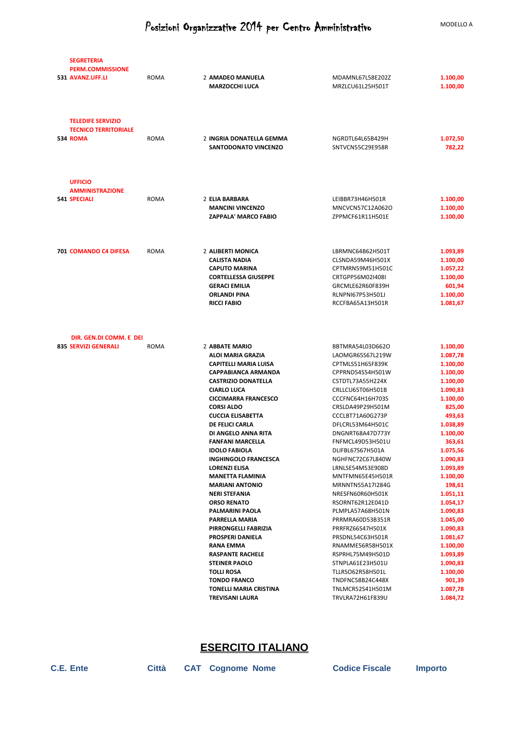| <b>SEGRETERIA</b><br><b>PERM.COMMISSIONE</b><br>531 AVANZ.UFF.LI           | ROMA        | 2 AMADEO MANUELA<br><b>MARZOCCHI LUCA</b>                                                                                                                      | MDAMNL67L58E202Z<br>MRZLCU61L25H501T                                                                                                     | 1.100,00<br>1.100,00                                                           |
|----------------------------------------------------------------------------|-------------|----------------------------------------------------------------------------------------------------------------------------------------------------------------|------------------------------------------------------------------------------------------------------------------------------------------|--------------------------------------------------------------------------------|
| <b>TELEDIFE SERVIZIO</b><br><b>TECNICO TERRITORIALE</b><br><b>534 ROMA</b> | <b>ROMA</b> | 2 INGRIA DONATELLA GEMMA<br>SANTODONATO VINCENZO                                                                                                               | NGRDTL64L65B429H<br>SNTVCN55C29E958R                                                                                                     | 1.072,50<br>782,22                                                             |
| <b>UFFICIO</b><br><b>AMMINISTRAZIONE</b><br><b>541 SPECIALI</b>            | ROMA        | 2 ELIA BARBARA<br><b>MANCINI VINCENZO</b>                                                                                                                      | LEIBBR73H46H501R<br>MNCVCN57C12A062O                                                                                                     | 1.100,00<br>1.100,00                                                           |
|                                                                            |             | <b>ZAPPALA' MARCO FABIO</b>                                                                                                                                    | ZPPMCF61R11H501E                                                                                                                         | 1.100,00                                                                       |
| 701 COMANDO C4 DIFESA                                                      | ROMA        | 2 ALIBERTI MONICA<br>CALISTA NADIA<br><b>CAPUTO MARINA</b><br><b>CORTELLESSA GIUSEPPE</b><br><b>GERACI EMILIA</b><br><b>ORLANDI PINA</b><br><b>RICCI FABIO</b> | LBRMNC64B62H501T<br>CLSNDA59M46H501X<br>CPTMRN59M51H501C<br>CRTGPP56M02I408I<br>GRCMLE62R60F839H<br>RLNPNI67P53H501J<br>RCCFBA65A13H501R | 1.093,89<br>1.100,00<br>1.057,22<br>1.100,00<br>601,94<br>1.100,00<br>1.081,67 |
| DIR. GEN.DI COMM. E DEI<br><b>835 SERVIZI GENERALI</b>                     | ROMA        | 2 ABBATE MARIO                                                                                                                                                 | BBTMRA54L03D662O                                                                                                                         | 1.100,00                                                                       |
|                                                                            |             | <b>ALOI MARIA GRAZIA</b><br><b>CAPITELLI MARIA LUISA</b><br><b>CAPPABIANCA ARMANDA</b><br><b>CASTRIZIO DONATELLA</b><br><b>CIARLO LUCA</b>                     | LAOMGR65S67L219W<br>CPTMLS51H65F839K<br>CPPRND54S54H501W<br>CSTDTL73A55H224X<br>CRLLCU65T06H501B                                         | 1.087,78<br>1.100,00<br>1.100,00<br>1.100,00<br>1.090,83                       |
|                                                                            |             | <b>CICCIMARRA FRANCESCO</b><br><b>CORSI ALDO</b><br><b>CUCCIA ELISABETTA</b><br>DE FELICI CARLA<br>DI ANGELO ANNA RITA                                         | CCCFNC64H16H703S<br>CRSLDA49P29H501M<br>CCCLBT71A60G273P<br>DFLCRL53M64H501C<br>DNGNRT68A47D773Y                                         | 1.100,00<br>825,00<br>493,63<br>1.038,89<br>1.100,00                           |
|                                                                            |             | <b>FANFANI MARCELLA</b><br><b>IDOLO FABIOLA</b><br><b>INGHINGOLO FRANCESCA</b><br><b>LORENZI ELISA</b><br><b>MANETTA FLAMINIA</b>                              | FNFMCL49D53H501U<br>DLIFBL67S67H501A<br>NGHFNC72C67L840W<br>LRNLSE54M53E908D<br>MNTFMN65E45H501R                                         | 363,61<br>1.075,56<br>1.090,83<br>1.093,89<br>1.100,00                         |
|                                                                            |             | <b>MARIANI ANTONIO</b><br><b>NERI STEFANIA</b><br><b>ORSO RENATO</b><br>PALMARINI PAOLA                                                                        | MRNNTN55A17I284G<br>NRESFN60R60H501K<br>RSORNT62R12E041D<br>PLMPLA57A68H501N                                                             | 198,61<br>1.051,11<br>1.054,17<br>1.090,83                                     |
|                                                                            |             | PARRELLA MARIA<br>PIRRONGELLI FABRIZIA<br><b>PROSPERI DANIELA</b><br><b>RANA EMMA</b><br><b>RASPANTE RACHELE</b>                                               | PRRMRA60D53B351R<br>PRRFRZ66S47H501K<br>PRSDNL54C63H501R<br>RNAMME56R58H501X<br>RSPRHL75M49H501D                                         | 1.045,00<br>1.090,83<br>1.081,67<br>1.100,00<br>1.093,89                       |
|                                                                            |             | <b>STEINER PAOLO</b><br><b>TOLLI ROSA</b><br><b>TONDO FRANCO</b><br><b>TONELLI MARIA CRISTINA</b><br><b>TREVISANI LAURA</b>                                    | STNPLA61E23H501U<br>TLLRSO62R58H501L<br>TNDFNC58B24C448X<br>TNLMCR52S41H501M<br>TRVLRA72H61F839U                                         | 1.090,83<br>1.100,00<br>901,39<br>1.087,78<br>1.084,72                         |
|                                                                            |             |                                                                                                                                                                |                                                                                                                                          |                                                                                |

### **ESERCITO ITALIANO**

**C.E. Ente Città CAT Cognome Nome Codice Fiscale Importo**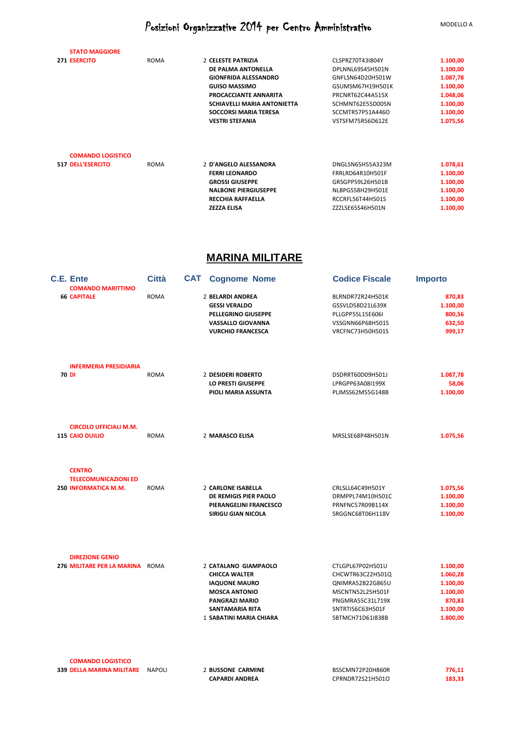| <b>STATO MAGGIORE</b>    |             |                              |                  |          |
|--------------------------|-------------|------------------------------|------------------|----------|
| 271 ESERCITO             | <b>ROMA</b> | 2 CELESTE PATRIZIA           | CLSPRZ70T43I804Y | 1.100,00 |
|                          |             | DE PALMA ANTONELLA           | DPLNNL69S45H501N | 1.100,00 |
|                          |             | <b>GIONFRIDA ALESSANDRO</b>  | GNFLSN64D20H501W | 1.087,78 |
|                          |             | <b>GUISO MASSIMO</b>         | GSUMSM67H19H501K | 1.100,00 |
|                          |             | PROCACCIANTE ANNARITA        | PRCNRT62C44A515X | 1.048,06 |
|                          |             | SCHIAVELLI MARIA ANTONIETTA  | SCHMNT62E55D005N | 1.100,00 |
|                          |             | <b>SOCCORSI MARIA TERESA</b> | SCCMTR57P51A446O | 1.100,00 |
|                          |             | <b>VESTRI STEFANIA</b>       | VSTSFM75R56D612E | 1.075,56 |
| <b>COMANDO LOGISTICO</b> |             |                              |                  |          |
| <b>517 DELL'ESERCITO</b> | <b>ROMA</b> | 2 D'ANGELO ALESSANDRA        | DNGLSN65H55A323M | 1.078,61 |
|                          |             | <b>FERRI LEONARDO</b>        | FRRLRD64R10H501F | 1.100,00 |
|                          |             | <b>GROSSI GIUSEPPE</b>       | GRSGPP59L26H501B | 1.100,00 |
|                          |             | <b>NALBONE PIERGIUSEPPE</b>  | NLBPGS58H29H501E | 1.100,00 |
|                          |             | <b>RECCHIA RAFFAELLA</b>     | RCCRFL56T44H501S | 1.100,00 |
|                          |             | <b>ZEZZA ELISA</b>           | ZZZLSE65S46H501N | 1.100,00 |

### **MARINA MILITARE**

|  | <b>C.E. Ente</b><br><b>COMANDO MARITTIMO</b>              | <b>Città</b>  | <b>Cognome Nome</b><br>CAT                         | <b>Codice Fiscale</b>                | Importo              |
|--|-----------------------------------------------------------|---------------|----------------------------------------------------|--------------------------------------|----------------------|
|  | <b>66 CAPITALE</b>                                        | <b>ROMA</b>   | 2 BELARDI ANDREA                                   | BLRNDR72R24H501K                     | 870,83               |
|  |                                                           |               | <b>GESSI VERALDO</b>                               | GSSVLD58D21L639X                     | 1.100,00             |
|  |                                                           |               | PELLEGRINO GIUSEPPE                                | PLLGPP55L15E606I                     | 800,56               |
|  |                                                           |               | <b>VASSALLO GIOVANNA</b>                           | VSSGNN66P68H501S                     | 632,50               |
|  |                                                           |               | <b>VURCHIO FRANCESCA</b>                           | VRCFNC73H50H501S                     | 999,17               |
|  | <b>INFERMERIA PRESIDIARIA</b>                             |               |                                                    |                                      |                      |
|  | 70 DI                                                     | <b>ROMA</b>   | 2 DESIDERI ROBERTO                                 | DSDRRT60D09H501J                     | 1.087,78             |
|  |                                                           |               | LO PRESTI GIUSEPPE                                 | LPRGPP63A08I199X                     | 58,06                |
|  |                                                           |               | PIOLI MARIA ASSUNTA                                | PLIMSS62M55G148B                     | 1.100,00             |
|  | <b>CIRCOLO UFFICIALI M.M.</b>                             |               |                                                    |                                      |                      |
|  | <b>115 CAIO DUILIO</b>                                    | <b>ROMA</b>   | 2 MARASCO ELISA                                    | MRSLSE68P48H501N                     | 1.075,56             |
|  | <b>CENTRO</b>                                             |               |                                                    |                                      |                      |
|  | <b>TELECOMUNICAZIONI ED</b>                               |               |                                                    |                                      |                      |
|  | 250 INFORMATICA M.M.                                      | <b>ROMA</b>   | 2 CARLONE ISABELLA<br><b>DE REMIGIS PIER PAOLO</b> | CRLSLL64C49H501Y                     | 1.075,56             |
|  |                                                           |               | PIERANGELINI FRANCESCO                             | DRMPPL74M10H501C<br>PRNFNC57R09B114X | 1.100,00<br>1.100,00 |
|  |                                                           |               | <b>SIRIGU GIAN NICOLA</b>                          | SRGGNC68T06H118V                     | 1.100,00             |
|  |                                                           |               |                                                    |                                      |                      |
|  | <b>DIREZIONE GENIO</b><br>276 MILITARE PER LA MARINA ROMA |               | 2 CATALANO GIAMPAOLO                               | CTLGPL67P02H501U                     | 1.100,00             |
|  |                                                           |               | <b>CHICCA WALTER</b>                               | CHCWTR63C22H501Q                     | 1.060,28             |
|  |                                                           |               | <b>IAQUONE MAURO</b>                               | QNIMRA52B22G865U                     | 1.100,00             |
|  |                                                           |               | <b>MOSCA ANTONIO</b>                               | MSCNTN52L25H501F                     | 1.100,00             |
|  |                                                           |               | PANGRAZI MARIO                                     | PNGMRA55C31L719X                     | 870,83               |
|  |                                                           |               | <b>SANTAMARIA RITA</b>                             | SNTRTI56C63H501F                     | 1.100,00             |
|  |                                                           |               | 1 SABATINI MARIA CHIARA                            | SBTMCH71D61I838B                     | 1.800,00             |
|  | <b>COMANDO LOGISTICO</b>                                  |               |                                                    |                                      |                      |
|  | <b>339 DELLA MARINA MILITARE</b>                          | <b>NAPOLI</b> | 2 BUSSONE CARMINE                                  | BSSCMN72P20H860R                     | 776,11               |
|  |                                                           |               | <b>CAPARDI ANDREA</b>                              | CPRNDR72S21H501O                     | 183,33               |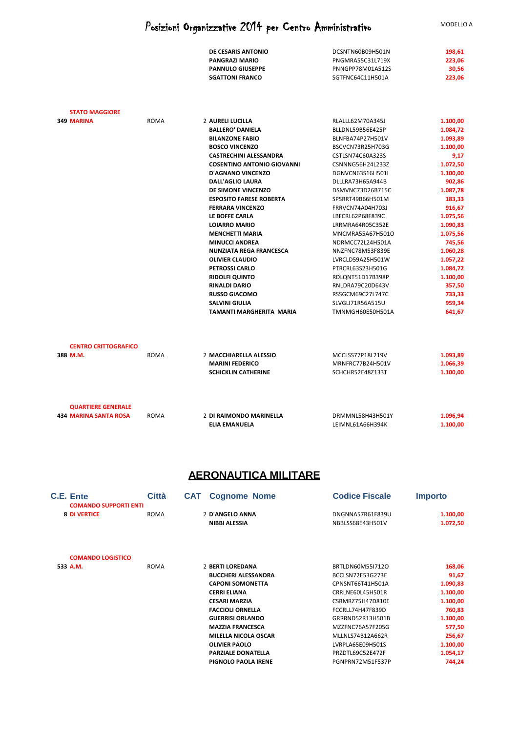|                                     |             | DE CESARIS ANTONIO                                | DCSNTN60B09H501N                     | 198,61               |
|-------------------------------------|-------------|---------------------------------------------------|--------------------------------------|----------------------|
|                                     |             | <b>PANGRAZI MARIO</b>                             | <b>PNGMRA55C31L719X</b>              | 223,06               |
|                                     |             | <b>PANNULO GIUSEPPE</b>                           | PNNGPP78M01A512S                     | 30,56                |
|                                     |             | <b>SGATTONI FRANCO</b>                            | SGTFNC64C11H501A                     | 223,06               |
| <b>STATO MAGGIORE</b><br>349 MARINA | ROMA        | 2 AURELI LUCILLA                                  | RLALLL62M70A345J                     | 1.100,00             |
|                                     |             | <b>BALLERO' DANIELA</b>                           | BLLDNL59B56E425P                     | 1.084,72             |
|                                     |             | <b>BILANZONE FABIO</b>                            | BLNFBA74P27H501V                     | 1.093,89             |
|                                     |             | <b>BOSCO VINCENZO</b>                             | BSCVCN73R25H703G                     | 1.100.00             |
|                                     |             | <b>CASTRECHINI ALESSANDRA</b>                     | CSTLSN74C60A323S                     | 9,17                 |
|                                     |             | <b>COSENTINO ANTONIO GIOVANNI</b>                 | CSNNNG56H24L233Z                     | 1.072,50             |
|                                     |             | <b>D'AGNANO VINCENZO</b>                          | DGNVCN63S16H501I                     | 1.100,00             |
|                                     |             | <b>DALL'AGLIO LAURA</b>                           | DLLLRA73H65A944B                     | 902,86               |
|                                     |             | DE SIMONE VINCENZO                                | DSMVNC73D26B715C                     | 1.087,78             |
|                                     |             | <b>ESPOSITO FARESE ROBERTA</b>                    | SPSRRT49B66H501M                     | 183,33               |
|                                     |             | <b>FERRARA VINCENZO</b>                           | FRRVCN74A04H703J                     | 916,67               |
|                                     |             | LE BOFFE CARLA                                    | LBFCRL62P68F839C                     | 1.075,56             |
|                                     |             | <b>LOIARRO MARIO</b>                              | LRRMRA64R05C352E                     | 1.090,83             |
|                                     |             | <b>MENCHETTI MARIA</b>                            | MNCMRA55A67H501O                     | 1.075,56             |
|                                     |             | <b>MINUCCI ANDREA</b>                             | NDRMCC72L24H501A                     | 745,56               |
|                                     |             | <b>NUNZIATA REGA FRANCESCA</b>                    | NNZFNC78M53F839E                     | 1.060,28             |
|                                     |             | <b>OLIVIER CLAUDIO</b>                            | LVRCLD59A25H501W                     | 1.057,22             |
|                                     |             | <b>PETROSSI CARLO</b>                             | PTRCRL63S23H501G                     | 1.084,72             |
|                                     |             | <b>RIDOLFI QUINTO</b>                             | RDLQNT51D17B398P                     | 1.100,00             |
|                                     |             | <b>RINALDI DARIO</b>                              | RNLDRA79C20D643V                     | 357,50               |
|                                     |             | <b>RUSSO GIACOMO</b>                              | RSSGCM69C27L747C                     | 733,33               |
|                                     |             | <b>SALVINI GIULIA</b><br>TAMANTI MARGHERITA MARIA | SLVGLI71R56A515U                     | 959,34               |
|                                     |             |                                                   | TMNMGH60E50H501A                     | 641,67               |
| <b>CENTRO CRITTOGRAFICO</b>         |             |                                                   |                                      |                      |
| 388 M.M.                            | <b>ROMA</b> | 2 MACCHIARELLA ALESSIO                            | MCCLSS77P18L219V                     | 1.093,89             |
|                                     |             | <b>MARINI FEDERICO</b>                            | MRNFRC77B24H501V                     | 1.066,39             |
|                                     |             | <b>SCHICKLIN CATHERINE</b>                        | SCHCHR52E48Z133T                     | 1.100,00             |
| <b>QUARTIERE GENERALE</b>           |             |                                                   |                                      |                      |
| <b>434 MARINA SANTA ROSA</b>        | <b>ROMA</b> | 2 DI RAIMONDO MARINELLA<br><b>ELIA EMANUELA</b>   | DRMMNL58H43H501Y<br>LEIMNL61A66H394K | 1.096,94<br>1.100,00 |
|                                     |             |                                                   |                                      |                      |

### **AERONAUTICA MILITARE**

| C.E. Ente                                           | <b>Città</b> | CAT | <b>Cognome Nome</b>         | <b>Codice Fiscale</b> | <b>Importo</b> |  |
|-----------------------------------------------------|--------------|-----|-----------------------------|-----------------------|----------------|--|
| <b>COMANDO SUPPORTI ENTI</b><br><b>8 DI VERTICE</b> | <b>ROMA</b>  |     | 2 D'ANGELO ANNA             | DNGNNA57R61F839U      | 1.100,00       |  |
|                                                     |              |     |                             |                       |                |  |
|                                                     |              |     | NIBBI ALESSIA               | NBBLSS68E43H501V      | 1.072,50       |  |
| <b>COMANDO LOGISTICO</b>                            |              |     |                             |                       |                |  |
| 533 A.M.                                            | ROMA         |     | 2 BERTI LOREDANA            | BRTLDN60M55I712O      | 168,06         |  |
|                                                     |              |     | <b>BUCCHERI ALESSANDRA</b>  | BCCLSN72E53G273E      | 91,67          |  |
|                                                     |              |     | <b>CAPONI SOMONETTA</b>     | CPNSNT66T41H501A      | 1.090,83       |  |
|                                                     |              |     | <b>CERRI ELIANA</b>         | CRRLNE60L45H501R      | 1.100,00       |  |
|                                                     |              |     | <b>CESARI MARZIA</b>        | CSRMRZ75H47D810E      | 1.100,00       |  |
|                                                     |              |     | <b>FACCIOLI ORNELLA</b>     | FCCRLL74H47F839D      | 760,83         |  |
|                                                     |              |     | <b>GUERRISI ORLANDO</b>     | GRRRND52R13H501B      | 1.100,00       |  |
|                                                     |              |     | <b>MAZZIA FRANCESCA</b>     | MZZFNC76A57F205G      | 577,50         |  |
|                                                     |              |     | <b>MILELLA NICOLA OSCAR</b> | MLLNLS74B12A662R      | 256,67         |  |
|                                                     |              |     | <b>OLIVIER PAOLO</b>        | LVRPLA65E09H501S      | 1.100,00       |  |
|                                                     |              |     | <b>PARZIALE DONATELLA</b>   | PRZDTL69C52E472F      | 1.054,17       |  |
|                                                     |              |     | PIGNOLO PAOLA IRENE         | PGNPRN72M51F537P      | 744,24         |  |